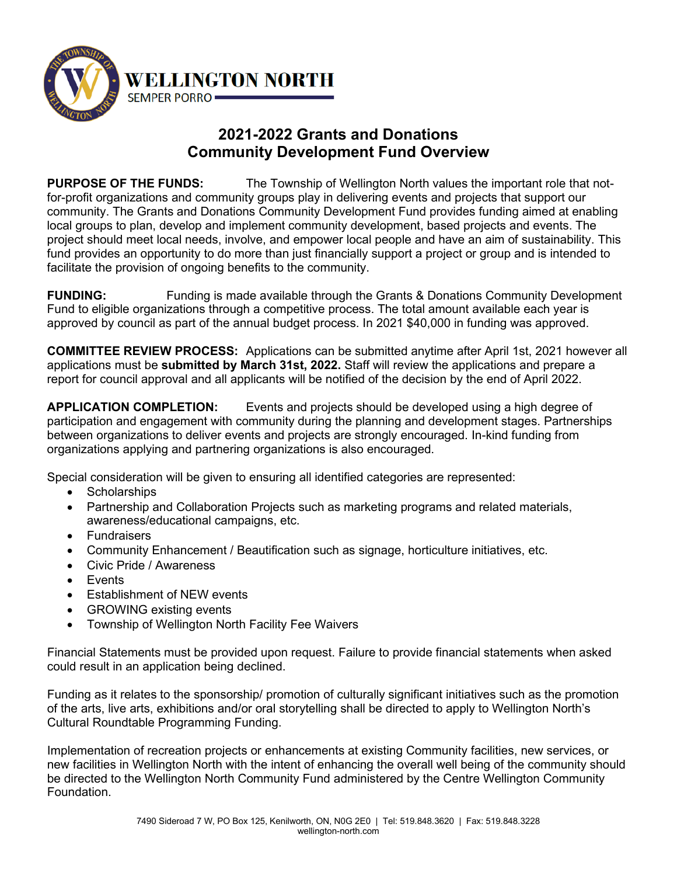

## **2021-2022 Grants and Donations Community Development Fund Overview**

**PURPOSE OF THE FUNDS:** The Township of Wellington North values the important role that notfor-profit organizations and community groups play in delivering events and projects that support our community. The Grants and Donations Community Development Fund provides funding aimed at enabling local groups to plan, develop and implement community development, based projects and events. The project should meet local needs, involve, and empower local people and have an aim of sustainability. This fund provides an opportunity to do more than just financially support a project or group and is intended to facilitate the provision of ongoing benefits to the community.

**FUNDING:** Funding is made available through the Grants & Donations Community Development Fund to eligible organizations through a competitive process. The total amount available each year is approved by council as part of the annual budget process. In 2021 \$40,000 in funding was approved.

**COMMITTEE REVIEW PROCESS:** Applications can be submitted anytime after April 1st, 2021 however all applications must be **submitted by March 31st, 2022.** Staff will review the applications and prepare a report for council approval and all applicants will be notified of the decision by the end of April 2022.

**APPLICATION COMPLETION:** Events and projects should be developed using a high degree of participation and engagement with community during the planning and development stages. Partnerships between organizations to deliver events and projects are strongly encouraged. In-kind funding from organizations applying and partnering organizations is also encouraged.

Special consideration will be given to ensuring all identified categories are represented:

- Scholarships
- Partnership and Collaboration Projects such as marketing programs and related materials, awareness/educational campaigns, etc.
- Fundraisers
- Community Enhancement / Beautification such as signage, horticulture initiatives, etc.
- Civic Pride / Awareness
- Events
- Establishment of NEW events
- GROWING existing events
- Township of Wellington North Facility Fee Waivers

Financial Statements must be provided upon request. Failure to provide financial statements when asked could result in an application being declined.

Funding as it relates to the sponsorship/ promotion of culturally significant initiatives such as the promotion of the arts, live arts, exhibitions and/or oral storytelling shall be directed to apply to Wellington North's Cultural Roundtable Programming Funding.

Implementation of recreation projects or enhancements at existing Community facilities, new services, or new facilities in Wellington North with the intent of enhancing the overall well being of the community should be directed to the Wellington North Community Fund administered by the Centre Wellington Community Foundation.